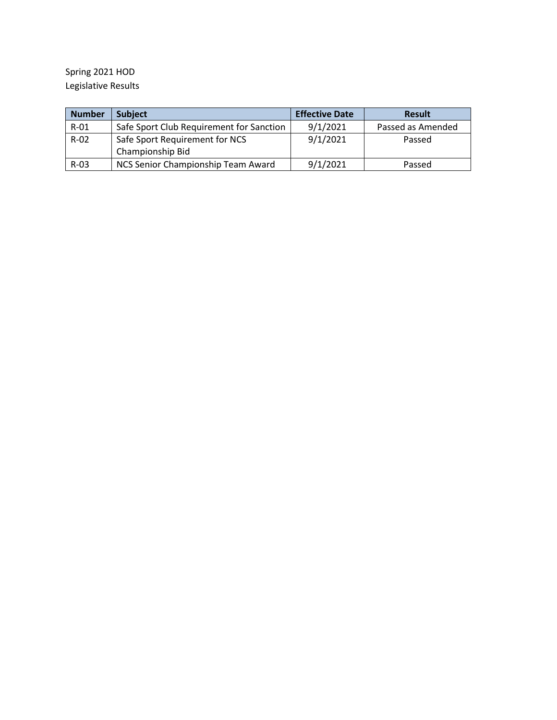Spring 2021 HOD Legislative Results

| <b>Number</b> | <b>Subject</b>                           | <b>Effective Date</b> | <b>Result</b>     |
|---------------|------------------------------------------|-----------------------|-------------------|
| $R-01$        | Safe Sport Club Requirement for Sanction | 9/1/2021              | Passed as Amended |
| $R-02$        | Safe Sport Requirement for NCS           | 9/1/2021              | Passed            |
|               | Championship Bid                         |                       |                   |
| $R-03$        | NCS Senior Championship Team Award       | 9/1/2021              | Passed            |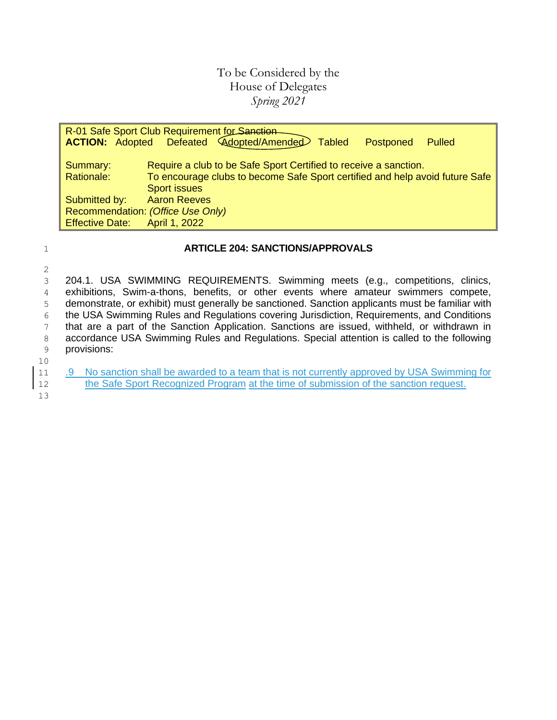## To be Considered by the House of Delegates *Spring 2021*

| R-01 Safe Sport Club Requirement for Sanction |                                                                                                |  |  |  |  |  |  |
|-----------------------------------------------|------------------------------------------------------------------------------------------------|--|--|--|--|--|--|
|                                               | <b>ACTION:</b> Adopted Defeated <i>Adopted/Amended</i><br><b>Tabled</b><br>Postponed<br>Pulled |  |  |  |  |  |  |
|                                               |                                                                                                |  |  |  |  |  |  |
| Summary:                                      | Require a club to be Safe Sport Certified to receive a sanction.                               |  |  |  |  |  |  |
| Rationale:                                    | To encourage clubs to become Safe Sport certified and help avoid future Safe                   |  |  |  |  |  |  |
|                                               | <b>Sport issues</b>                                                                            |  |  |  |  |  |  |
| Submitted by:                                 | <b>Aaron Reeves</b>                                                                            |  |  |  |  |  |  |
| Recommendation: (Office Use Only)             |                                                                                                |  |  |  |  |  |  |
| <b>Effective Date:</b>                        | April 1, 2022                                                                                  |  |  |  |  |  |  |

### 1 **ARTICLE 204: SANCTIONS/APPROVALS**

2

 204.1. USA SWIMMING REQUIREMENTS. Swimming meets (e.g., competitions, clinics, exhibitions, Swim-a-thons, benefits, or other events where amateur swimmers compete, demonstrate, or exhibit) must generally be sanctioned. Sanction applicants must be familiar with the USA Swimming Rules and Regulations covering Jurisdiction, Requirements, and Conditions that are a part of the Sanction Application. Sanctions are issued, withheld, or withdrawn in 8 accordance USA Swimming Rules and Regulations. Special attention is called to the following provisions:

- 10
- 11 .9 No sanction shall be awarded to a team that is not currently approved by USA Swimming for 12 the Safe Sport Recognized Program at the time of submission of the sanction request.

13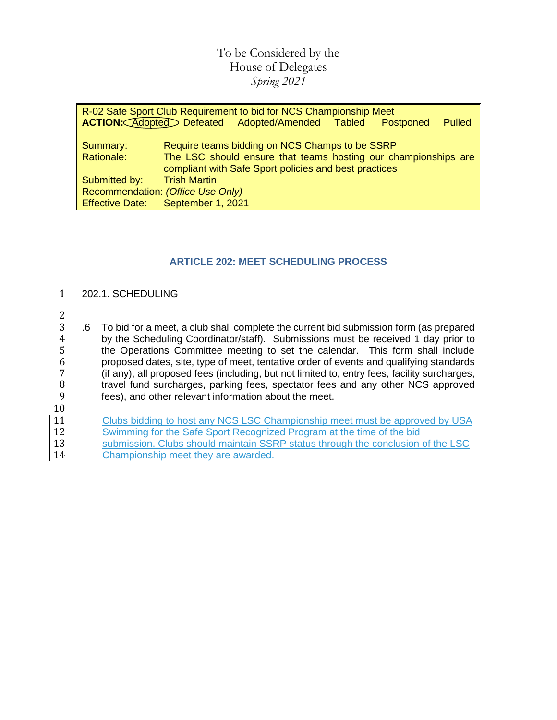# To be Considered by the House of Delegates *Spring 2021*

| R-02 Safe Sport Club Requirement to bid for NCS Championship Meet |                     |                                                                |  |           |        |  |
|-------------------------------------------------------------------|---------------------|----------------------------------------------------------------|--|-----------|--------|--|
|                                                                   |                     | ACTION: Adopted Defeated Adopted/Amended Tabled                |  | Postponed | Pulled |  |
|                                                                   |                     |                                                                |  |           |        |  |
| Summary:                                                          |                     | Require teams bidding on NCS Champs to be SSRP                 |  |           |        |  |
| Rationale:                                                        |                     | The LSC should ensure that teams hosting our championships are |  |           |        |  |
|                                                                   |                     | compliant with Safe Sport policies and best practices          |  |           |        |  |
| Submitted by:                                                     | <b>Trish Martin</b> |                                                                |  |           |        |  |
| Recommendation: (Office Use Only)                                 |                     |                                                                |  |           |        |  |
| <b>Effective Date:</b>                                            | September 1, 2021   |                                                                |  |           |        |  |

## **ARTICLE 202: MEET SCHEDULING PROCESS**

### 1 202.1. SCHEDULING

- $\frac{2}{3}$
- 3 .6 To bid for a meet, a club shall complete the current bid submission form (as prepared 4 by the Scheduling Coordinator/staff). Submissions must be received 1 day prior to 4 by the Scheduling Coordinator/staff). Submissions must be received 1 day prior to<br>5 the Operations Committee meeting to set the calendar. This form shall include 5 the Operations Committee meeting to set the calendar. This form shall include<br>6 proposed dates, site, type of meet, tentative order of events and qualifying standards 6 proposed dates, site, type of meet, tentative order of events and qualifying standards 7 (if any), all proposed fees (including, but not limited to, entry fees, facility surcharges, 8 travel fund surcharges, parking fees, spectator fees and any other NCS approved<br>9 fees), and other relevant information about the meet. fees), and other relevant information about the meet.
- 10
- 11 Clubs bidding to host any NCS LSC Championship meet must be approved by USA<br>12 Swimming for the Safe Sport Recognized Program at the time of the bid
- **Example 12 Swimming for the Safe Sport Recognized Program at the time of the bid**
- 13 submission. Clubs should maintain SSRP status through the conclusion of the LSC 14 Championship meet they are awarded.